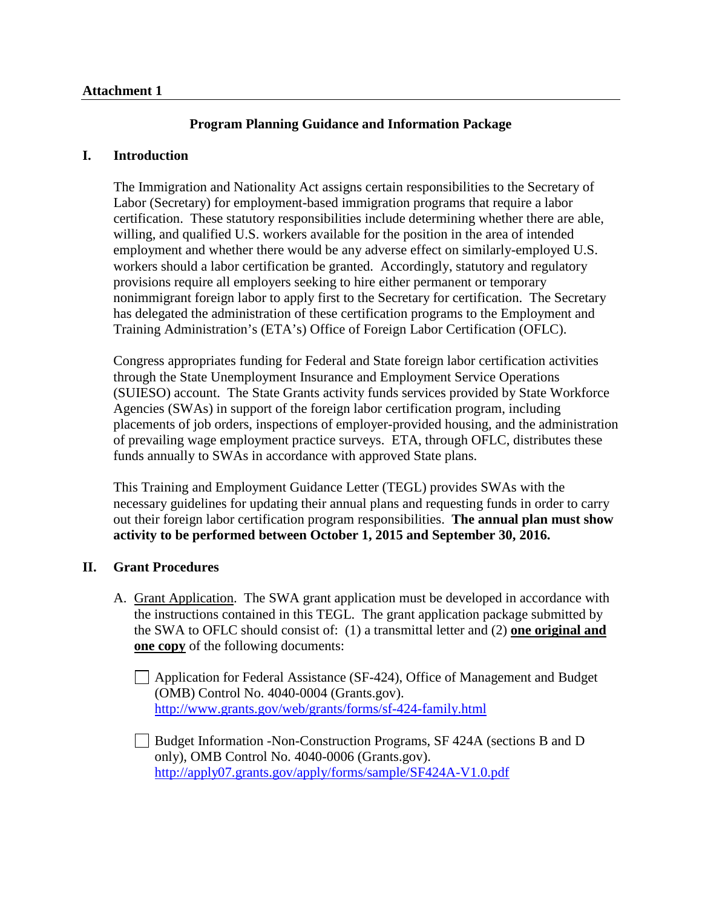## **Attachment 1**

# **Program Planning Guidance and Information Package**

## **I. Introduction**

The Immigration and Nationality Act assigns certain responsibilities to the Secretary of Labor (Secretary) for employment-based immigration programs that require a labor certification. These statutory responsibilities include determining whether there are able, willing, and qualified U.S. workers available for the position in the area of intended employment and whether there would be any adverse effect on similarly-employed U.S. workers should a labor certification be granted. Accordingly, statutory and regulatory provisions require all employers seeking to hire either permanent or temporary nonimmigrant foreign labor to apply first to the Secretary for certification. The Secretary has delegated the administration of these certification programs to the Employment and Training Administration's (ETA's) Office of Foreign Labor Certification (OFLC).

Congress appropriates funding for Federal and State foreign labor certification activities through the State Unemployment Insurance and Employment Service Operations (SUIESO) account. The State Grants activity funds services provided by State Workforce Agencies (SWAs) in support of the foreign labor certification program, including placements of job orders, inspections of employer-provided housing, and the administration of prevailing wage employment practice surveys. ETA, through OFLC, distributes these funds annually to SWAs in accordance with approved State plans.

This Training and Employment Guidance Letter (TEGL) provides SWAs with the necessary guidelines for updating their annual plans and requesting funds in order to carry out their foreign labor certification program responsibilities. **The annual plan must show activity to be performed between October 1, 2015 and September 30, 2016.**

## **II. Grant Procedures**

A. Grant Application. The SWA grant application must be developed in accordance with the instructions contained in this TEGL. The grant application package submitted by the SWA to OFLC should consist of: (1) a transmittal letter and (2) **one original and one copy** of the following documents:

Application for Federal Assistance (SF-424), Office of Management and Budget (OMB) Control No. 4040-0004 (Grants.gov). <http://www.grants.gov/web/grants/forms/sf-424-family.html>

Budget Information -Non-Construction Programs, SF 424A (sections B and D only), OMB Control No. 4040-0006 (Grants.gov). <http://apply07.grants.gov/apply/forms/sample/SF424A-V1.0.pdf>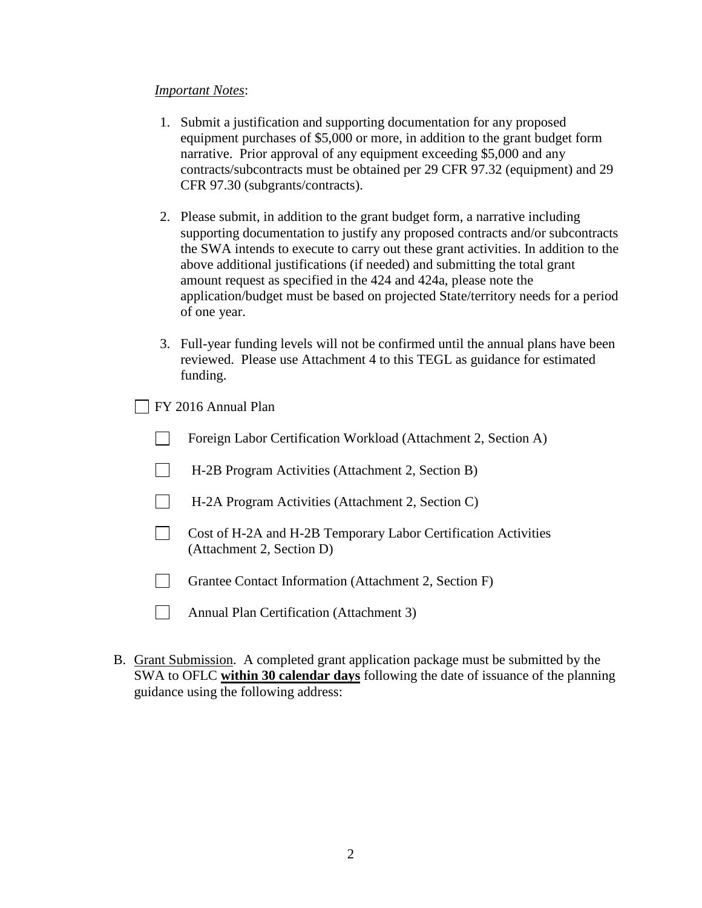### *Important Notes*:

- 1. Submit a justification and supporting documentation for any proposed equipment purchases of \$5,000 or more, in addition to the grant budget form narrative. Prior approval of any equipment exceeding \$5,000 and any contracts/subcontracts must be obtained per 29 CFR 97.32 (equipment) and 29 CFR 97.30 (subgrants/contracts).
- 2. Please submit, in addition to the grant budget form, a narrative including supporting documentation to justify any proposed contracts and/or subcontracts the SWA intends to execute to carry out these grant activities. In addition to the above additional justifications (if needed) and submitting the total grant amount request as specified in the 424 and 424a, please note the application/budget must be based on projected State/territory needs for a period of one year.
- 3. Full-year funding levels will not be confirmed until the annual plans have been reviewed. Please use Attachment 4 to this TEGL as guidance for estimated funding.

FY 2016 Annual Plan

| Foreign Labor Certification Workload (Attachment 2, Section A) |  |
|----------------------------------------------------------------|--|
|----------------------------------------------------------------|--|

- H-2B Program Activities (Attachment 2, Section B)
- H-2A Program Activities (Attachment 2, Section C)
- Cost of H-2A and H-2B Temporary Labor Certification Activities (Attachment 2, Section D)
- Grantee Contact Information (Attachment 2, Section F)
- $\Box$ Annual Plan Certification (Attachment 3)
- B. Grant Submission. A completed grant application package must be submitted by the SWA to OFLC **within 30 calendar days** following the date of issuance of the planning guidance using the following address: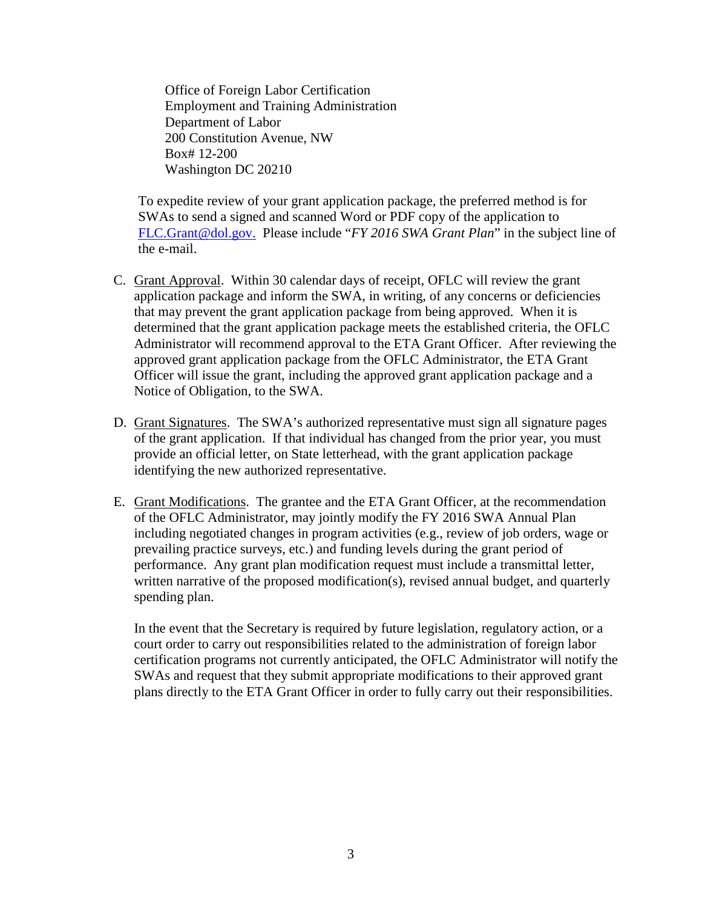Office of Foreign Labor Certification Employment and Training Administration Department of Labor 200 Constitution Avenue, NW Box# 12-200 Washington DC 20210

To expedite review of your grant application package, the preferred method is for SWAs to send a signed and scanned Word or PDF copy of the application to [FLC.Grant@dol.gov.](mailto:FLC.Grant@dol.gov) Please include "*FY 2016 SWA Grant Plan*" in the subject line of the e-mail.

- C. Grant Approval. Within 30 calendar days of receipt, OFLC will review the grant application package and inform the SWA, in writing, of any concerns or deficiencies that may prevent the grant application package from being approved. When it is determined that the grant application package meets the established criteria, the OFLC Administrator will recommend approval to the ETA Grant Officer. After reviewing the approved grant application package from the OFLC Administrator, the ETA Grant Officer will issue the grant, including the approved grant application package and a Notice of Obligation, to the SWA.
- D. Grant Signatures. The SWA's authorized representative must sign all signature pages of the grant application. If that individual has changed from the prior year, you must provide an official letter, on State letterhead, with the grant application package identifying the new authorized representative.
- E. Grant Modifications. The grantee and the ETA Grant Officer, at the recommendation of the OFLC Administrator, may jointly modify the FY 2016 SWA Annual Plan including negotiated changes in program activities (e.g., review of job orders, wage or prevailing practice surveys, etc.) and funding levels during the grant period of performance. Any grant plan modification request must include a transmittal letter, written narrative of the proposed modification(s), revised annual budget, and quarterly spending plan.

In the event that the Secretary is required by future legislation, regulatory action, or a court order to carry out responsibilities related to the administration of foreign labor certification programs not currently anticipated, the OFLC Administrator will notify the SWAs and request that they submit appropriate modifications to their approved grant plans directly to the ETA Grant Officer in order to fully carry out their responsibilities.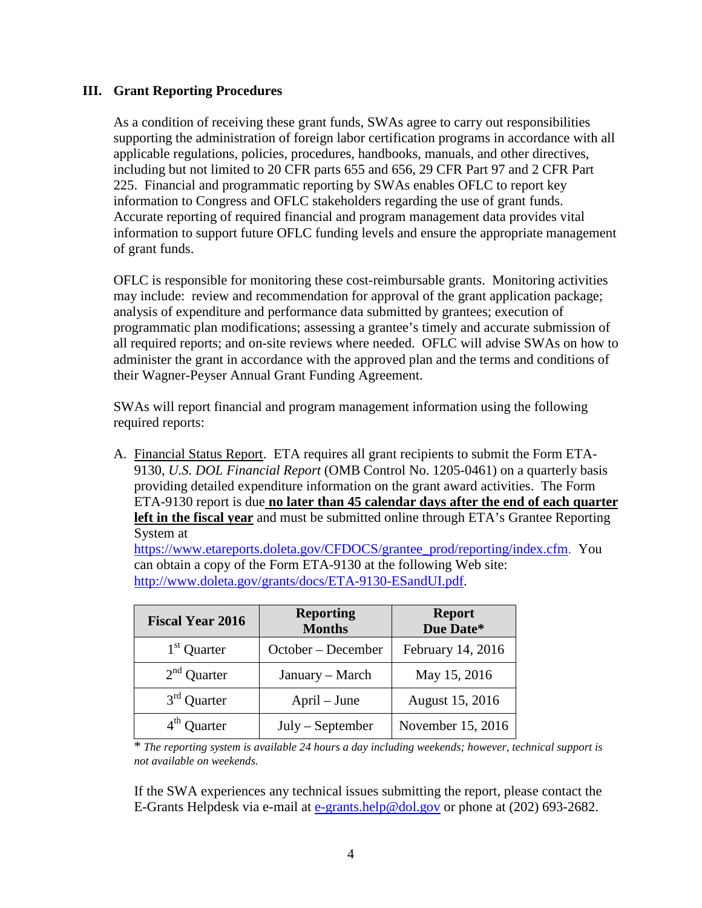# **III. Grant Reporting Procedures**

As a condition of receiving these grant funds, SWAs agree to carry out responsibilities supporting the administration of foreign labor certification programs in accordance with all applicable regulations, policies, procedures, handbooks, manuals, and other directives, including but not limited to 20 CFR parts 655 and 656, 29 CFR Part 97 and 2 CFR Part 225. Financial and programmatic reporting by SWAs enables OFLC to report key information to Congress and OFLC stakeholders regarding the use of grant funds. Accurate reporting of required financial and program management data provides vital information to support future OFLC funding levels and ensure the appropriate management of grant funds.

OFLC is responsible for monitoring these cost-reimbursable grants. Monitoring activities may include: review and recommendation for approval of the grant application package; analysis of expenditure and performance data submitted by grantees; execution of programmatic plan modifications; assessing a grantee's timely and accurate submission of all required reports; and on-site reviews where needed. OFLC will advise SWAs on how to administer the grant in accordance with the approved plan and the terms and conditions of their Wagner-Peyser Annual Grant Funding Agreement.

SWAs will report financial and program management information using the following required reports:

A. Financial Status Report. ETA requires all grant recipients to submit the Form ETA-9130, *U.S. DOL Financial Report* (OMB Control No. 1205-0461) on a quarterly basis providing detailed expenditure information on the grant award activities. The Form ETA-9130 report is due **no later than 45 calendar days after the end of each quarter left in the fiscal year** and must be submitted online through ETA's Grantee Reporting System at

[https://www.etareports.doleta.gov/CFDOCS/grantee\\_prod/reporting/index.cfm.](https://www.etareports.doleta.gov/CFDOCS/grantee_prod/reporting/index.cfm) You can obtain a copy of the Form ETA-9130 at the following Web site: [http://www.doleta.gov/grants/docs/ETA-9130-ESandUI.pdf.](http://www.doleta.gov/grants/docs/ETA-9130-ESandUI.pdf)

| <b>Fiscal Year 2016</b> | <b>Reporting</b><br><b>Months</b> | <b>Report</b><br>Due Date* |
|-------------------------|-----------------------------------|----------------------------|
| $1st$ Quarter           | October – December                | February 14, 2016          |
| $2nd$ Quarter           | January - March                   | May 15, 2016               |
| $3rd$ Quarter           | April – June                      | August 15, 2016            |
| $4th$ Quarter           | $July - September$                | November 15, 2016          |

\* *The reporting system is available 24 hours a day including weekends; however, technical support is not available on weekends.*

If the SWA experiences any technical issues submitting the report, please contact the E-Grants Helpdesk via e-mail at [e-grants.help@dol.gov](mailto:e-grants.help@dol.gov) or phone at (202) 693-2682.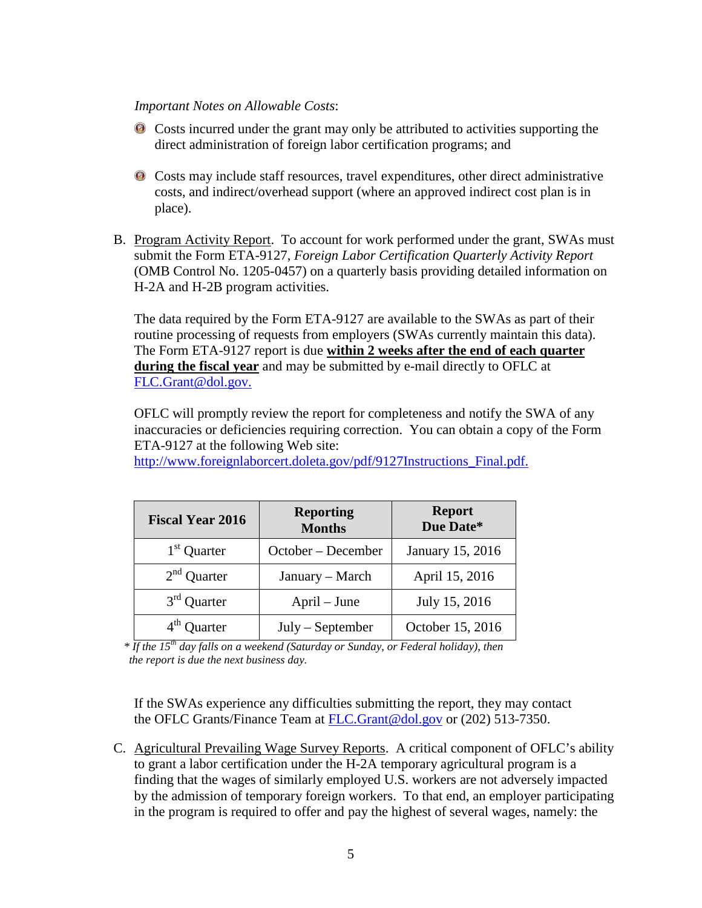### *Important Notes on Allowable Costs*:

- Costs incurred under the grant may only be attributed to activities supporting the direct administration of foreign labor certification programs; and
- Costs may include staff resources, travel expenditures, other direct administrative costs, and indirect/overhead support (where an approved indirect cost plan is in place).
- B. Program Activity Report. To account for work performed under the grant, SWAs must submit the Form ETA-9127, *Foreign Labor Certification Quarterly Activity Report* (OMB Control No. 1205-0457) on a quarterly basis providing detailed information on H-2A and H-2B program activities.

The data required by the Form ETA-9127 are available to the SWAs as part of their routine processing of requests from employers (SWAs currently maintain this data). The Form ETA-9127 report is due **within 2 weeks after the end of each quarter during the fiscal year** and may be submitted by e-mail directly to OFLC at [FLC.Grant@dol.gov.](mailto:FLC.Grant@dol.gov)

OFLC will promptly review the report for completeness and notify the SWA of any inaccuracies or deficiencies requiring correction. You can obtain a copy of the Form ETA-9127 at the following Web site:

| <b>Fiscal Year 2016</b> | <b>Reporting</b><br><b>Months</b> | <b>Report</b><br>Due Date* |
|-------------------------|-----------------------------------|----------------------------|
| $1st$ Quarter           | October – December                | January 15, 2016           |
| $2nd$ Quarter           | January - March                   | April 15, 2016             |
| $3rd$ Quarter           | April – June                      | July 15, 2016              |
| $4th$ Quarter           | $July - September$                | October 15, 2016           |

[http://www.foreignlaborcert.doleta.gov/pdf/9127Instructions\\_Final.pdf.](http://www.foreignlaborcert.doleta.gov/pdf/9127Instructions_Final.pdf)

*\* If the 15th day falls on a weekend (Saturday or Sunday, or Federal holiday), then the report is due the next business day.*

If the SWAs experience any difficulties submitting the report, they may contact the OFLC Grants/Finance Team at [FLC.Grant@dol.gov](mailto:FLC.Grant@dol.gov) or (202) 513-7350.

C. Agricultural Prevailing Wage Survey Reports. A critical component of OFLC's ability to grant a labor certification under the H-2A temporary agricultural program is a finding that the wages of similarly employed U.S. workers are not adversely impacted by the admission of temporary foreign workers. To that end, an employer participating in the program is required to offer and pay the highest of several wages, namely: the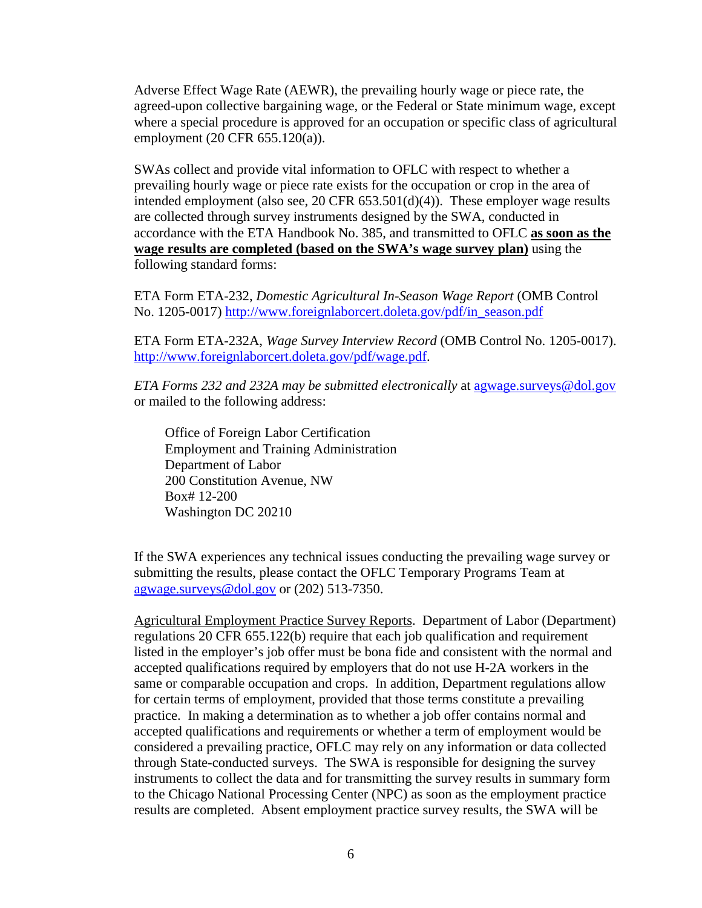Adverse Effect Wage Rate (AEWR), the prevailing hourly wage or piece rate, the agreed-upon collective bargaining wage, or the Federal or State minimum wage, except where a special procedure is approved for an occupation or specific class of agricultural employment (20 CFR 655.120(a)).

SWAs collect and provide vital information to OFLC with respect to whether a prevailing hourly wage or piece rate exists for the occupation or crop in the area of intended employment (also see, 20 CFR 653.501(d)(4)). These employer wage results are collected through survey instruments designed by the SWA, conducted in accordance with the ETA Handbook No. 385, and transmitted to OFLC **as soon as the wage results are completed (based on the SWA's wage survey plan)** using the following standard forms:

ETA Form ETA-232, *Domestic Agricultural In-Season Wage Report* (OMB Control No. 1205-0017) [http://www.foreignlaborcert.doleta.gov/pdf/in\\_season.pdf](http://www.foreignlaborcert.doleta.gov/pdf/in_season.pdf) 

ETA Form ETA-232A, *Wage Survey Interview Record* (OMB Control No. 1205-0017). [http://www.foreignlaborcert.doleta.gov/pdf/wage.pdf.](http://www.foreignlaborcert.doleta.gov/pdf/wage.pdf)

*ETA Forms 232 and 232A may be submitted electronically* at [agwage.surveys@dol.gov](mailto:agwage.surveys@dol.gov) or mailed to the following address:

Office of Foreign Labor Certification Employment and Training Administration Department of Labor 200 Constitution Avenue, NW Box# 12-200 Washington DC 20210

If the SWA experiences any technical issues conducting the prevailing wage survey or submitting the results, please contact the OFLC Temporary Programs Team at [agwage.surveys@dol.gov](mailto:agwage.surveys@dol.gov) or (202) 513-7350.

Agricultural Employment Practice Survey Reports. Department of Labor (Department) regulations 20 CFR 655.122(b) require that each job qualification and requirement listed in the employer's job offer must be bona fide and consistent with the normal and accepted qualifications required by employers that do not use H-2A workers in the same or comparable occupation and crops. In addition, Department regulations allow for certain terms of employment, provided that those terms constitute a prevailing practice. In making a determination as to whether a job offer contains normal and accepted qualifications and requirements or whether a term of employment would be considered a prevailing practice, OFLC may rely on any information or data collected through State-conducted surveys. The SWA is responsible for designing the survey instruments to collect the data and for transmitting the survey results in summary form to the Chicago National Processing Center (NPC) as soon as the employment practice results are completed. Absent employment practice survey results, the SWA will be